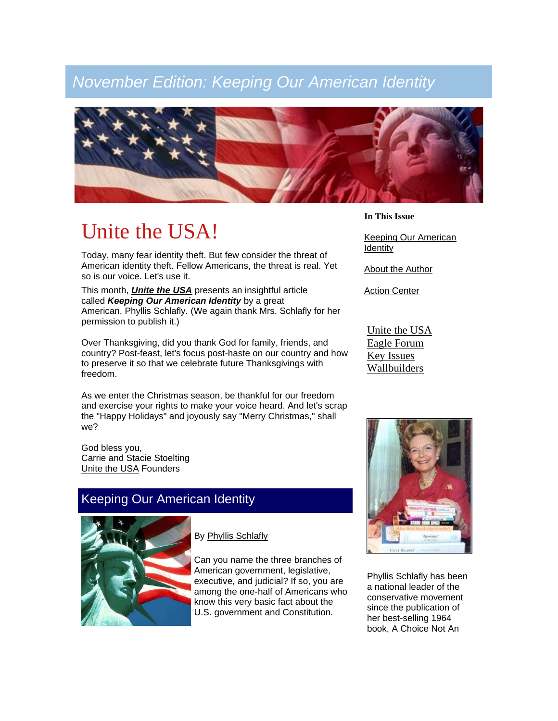## *November Edition: Keeping Our American Identity*



# Unite the USA!

Today, many fear identity theft. But few consider the threat of American identity theft. Fellow Americans, the threat is real. Yet so is our voice. Let's use it.

This month, *[Unite the USA](http://www.unitetheusa.org/)* presents an insightful article called *Keeping Our American Identity* by a great American, Phyllis Schlafly. (We again thank Mrs. Schlafly for her permission to publish it.)

Over Thanksgiving, did you thank God for family, friends, and country? Post-feast, let's focus post-haste on our country and how to preserve it so that we celebrate future Thanksgivings with freedom.

As we enter the Christmas season, be thankful for our freedom and exercise your rights to make your voice heard. And let's scrap the "Happy Holidays" and joyously say "Merry Christmas," shall we?

God bless you, Carrie and Stacie Stoelting [Unite the USA](http://www.unitetheusa.org/) Founders

### Keeping Our American Identity



By [Phyllis Schlafly](http://www.eagleforum.org/)

Can you name the three branches of American government, legislative, executive, and judicial? If so, you are among the one-half of Americans who know this very basic fact about the U.S. government and Constitution.

**In This Issue**

[Keeping Our American](http://campaign.constantcontact.com/render?v=001J8BvtJGIt7sLLKUe1uoYuEIjrIxddA7BeoKY4ODRkHuaE9NN2LkjkhT6yrbit7jF71Pu6BR8Pg7m8dcigq_kawGaqckSxVMgtr5X24cjAqbnLwf8vP6__OnV5ebpMA5pjBKAzzgLj4Q%3D#LETTER.BLOCK5)  [Identity](http://campaign.constantcontact.com/render?v=001J8BvtJGIt7sLLKUe1uoYuEIjrIxddA7BeoKY4ODRkHuaE9NN2LkjkhT6yrbit7jF71Pu6BR8Pg7m8dcigq_kawGaqckSxVMgtr5X24cjAqbnLwf8vP6__OnV5ebpMA5pjBKAzzgLj4Q%3D#LETTER.BLOCK5)

[About the Author](http://campaign.constantcontact.com/render?v=001J8BvtJGIt7sLLKUe1uoYuEIjrIxddA7BeoKY4ODRkHuaE9NN2LkjkhT6yrbit7jF71Pu6BR8Pg7m8dcigq_kawGaqckSxVMgtr5X24cjAqbnLwf8vP6__OnV5ebpMA5pjBKAzzgLj4Q%3D#LETTER.BLOCK12)

**[Action Center](http://campaign.constantcontact.com/render?v=001J8BvtJGIt7sLLKUe1uoYuEIjrIxddA7BeoKY4ODRkHuaE9NN2LkjkhT6yrbit7jF71Pu6BR8Pg7m8dcigq_kawGaqckSxVMgtr5X24cjAqbnLwf8vP6__OnV5ebpMA5pjBKAzzgLj4Q%3D#LETTER.BLOCK6)** 

[Unite the USA](http://www.unitetheusa.org/) [Eagle Forum](http://www.eagleforum.org/) [Key Issues](http://www.eagleforum.org/topics/) [Wallbuilders](http://www.wallbuilders.com/)



Phyllis Schlafly has been a national leader of the conservative movement since the publication of her best-selling 1964 book, A Choice Not An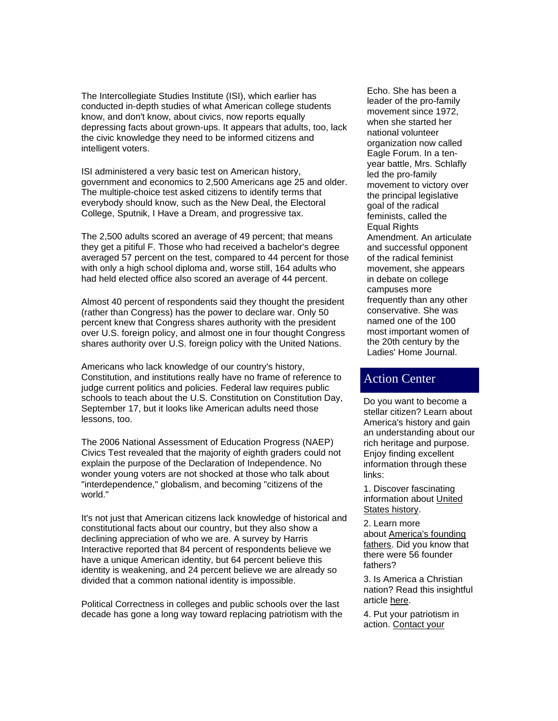The Intercollegiate Studies Institute (ISI), which earlier has conducted in-depth studies of what American college students know, and don't know, about civics, now reports equally depressing facts about grown-ups. It appears that adults, too, lack the civic knowledge they need to be informed citizens and intelligent voters.

ISI administered a very basic test on American history, government and economics to 2,500 Americans age 25 and older. The multiple-choice test asked citizens to identify terms that everybody should know, such as the New Deal, the Electoral College, Sputnik, I Have a Dream, and progressive tax.

The 2,500 adults scored an average of 49 percent; that means they get a pitiful F. Those who had received a bachelor's degree averaged 57 percent on the test, compared to 44 percent for those with only a high school diploma and, worse still, 164 adults who had held elected office also scored an average of 44 percent.

Almost 40 percent of respondents said they thought the president (rather than Congress) has the power to declare war. Only 50 percent knew that Congress shares authority with the president over U.S. foreign policy, and almost one in four thought Congress shares authority over U.S. foreign policy with the United Nations.

Americans who lack knowledge of our country's history, Constitution, and institutions really have no frame of reference to judge current politics and policies. Federal law requires public schools to teach about the U.S. Constitution on Constitution Day, September 17, but it looks like American adults need those lessons, too.

The 2006 National Assessment of Education Progress (NAEP) Civics Test revealed that the majority of eighth graders could not explain the purpose of the Declaration of Independence. No wonder young voters are not shocked at those who talk about "interdependence," globalism, and becoming "citizens of the world."

It's not just that American citizens lack knowledge of historical and constitutional facts about our country, but they also show a declining appreciation of who we are. A survey by Harris Interactive reported that 84 percent of respondents believe we have a unique American identity, but 64 percent believe this identity is weakening, and 24 percent believe we are already so divided that a common national identity is impossible.

Political Correctness in colleges and public schools over the last decade has gone a long way toward replacing patriotism with the Echo. She has been a leader of the pro-family movement since 1972, when she started her national volunteer organization now called Eagle Forum. In a tenyear battle, Mrs. Schlafly led the pro-family movement to victory over the principal legislative goal of the radical feminists, called the Equal Rights Amendment. An articulate and successful opponent of the radical feminist movement, she appears in debate on college campuses more frequently than any other conservative. She was named one of the 100 most important women of the 20th century by the Ladies' Home Journal.

### Action Center

Do you want to become a stellar citizen? Learn about America's history and gain an understanding about our rich heritage and purpose. Enjoy finding excellent information through these links:

1. Discover fascinating information about [United](http://www.wallbuilders.com/LIBissuesArticles.asp?id=100)  [States history.](http://www.wallbuilders.com/LIBissuesArticles.asp?id=100)

2. Learn more about [America's founding](http://en.wikipedia.org/wiki/Founding_Fathers_of_the_United_States)  [fathers.](http://en.wikipedia.org/wiki/Founding_Fathers_of_the_United_States) Did you know that there were 56 founder fathers?

3. Is America a Christian nation? Read this insightful article [here.](http://www.wallbuilders.com/LIBissuesArticles.asp?id=23909)

4. Put your patriotism in action. [Contact your](https://writerep.house.gov/writerep/welcome.shtml)